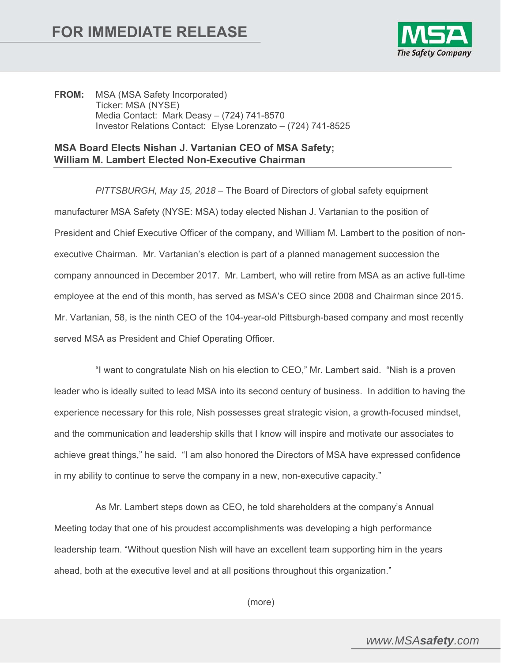

**FROM:** MSA (MSA Safety Incorporated) Ticker: MSA (NYSE) Media Contact: Mark Deasy – (724) 741-8570 Investor Relations Contact: Elyse Lorenzato – (724) 741-8525

## **MSA Board Elects Nishan J. Vartanian CEO of MSA Safety; William M. Lambert Elected Non-Executive Chairman**

*PITTSBURGH, May 15, 2018* – The Board of Directors of global safety equipment manufacturer MSA Safety (NYSE: MSA) today elected Nishan J. Vartanian to the position of President and Chief Executive Officer of the company, and William M. Lambert to the position of nonexecutive Chairman. Mr. Vartanian's election is part of a planned management succession the company announced in December 2017. Mr. Lambert, who will retire from MSA as an active full-time employee at the end of this month, has served as MSA's CEO since 2008 and Chairman since 2015. Mr. Vartanian, 58, is the ninth CEO of the 104-year-old Pittsburgh-based company and most recently served MSA as President and Chief Operating Officer.

 "I want to congratulate Nish on his election to CEO," Mr. Lambert said. "Nish is a proven leader who is ideally suited to lead MSA into its second century of business. In addition to having the experience necessary for this role, Nish possesses great strategic vision, a growth-focused mindset, and the communication and leadership skills that I know will inspire and motivate our associates to achieve great things," he said. "I am also honored the Directors of MSA have expressed confidence in my ability to continue to serve the company in a new, non-executive capacity."

 As Mr. Lambert steps down as CEO, he told shareholders at the company's Annual Meeting today that one of his proudest accomplishments was developing a high performance leadership team. "Without question Nish will have an excellent team supporting him in the years ahead, both at the executive level and at all positions throughout this organization."

(more)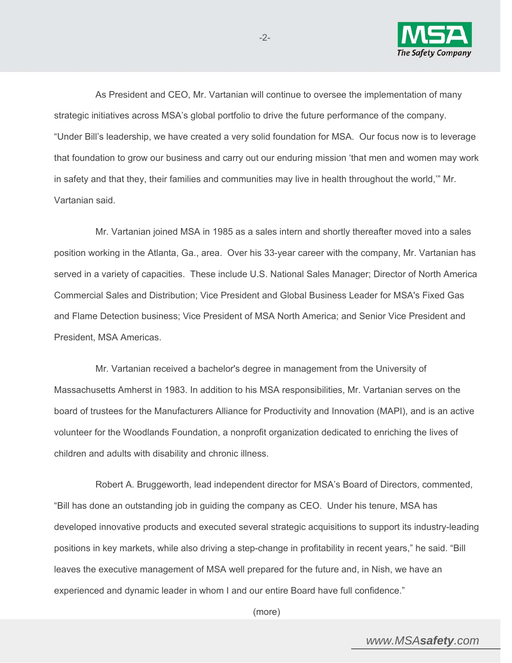

 As President and CEO, Mr. Vartanian will continue to oversee the implementation of many strategic initiatives across MSA's global portfolio to drive the future performance of the company. "Under Bill's leadership, we have created a very solid foundation for MSA. Our focus now is to leverage that foundation to grow our business and carry out our enduring mission 'that men and women may work in safety and that they, their families and communities may live in health throughout the world,'" Mr. Vartanian said.

-2-

 Mr. Vartanian joined MSA in 1985 as a sales intern and shortly thereafter moved into a sales position working in the Atlanta, Ga., area. Over his 33-year career with the company, Mr. Vartanian has served in a variety of capacities. These include U.S. National Sales Manager; Director of North America Commercial Sales and Distribution; Vice President and Global Business Leader for MSA's Fixed Gas and Flame Detection business; Vice President of MSA North America; and Senior Vice President and President, MSA Americas.

 Mr. Vartanian received a bachelor's degree in management from the University of Massachusetts Amherst in 1983. In addition to his MSA responsibilities, Mr. Vartanian serves on the board of trustees for the Manufacturers Alliance for Productivity and Innovation (MAPI), and is an active volunteer for the Woodlands Foundation, a nonprofit organization dedicated to enriching the lives of children and adults with disability and chronic illness.

 Robert A. Bruggeworth, lead independent director for MSA's Board of Directors, commented, "Bill has done an outstanding job in guiding the company as CEO. Under his tenure, MSA has developed innovative products and executed several strategic acquisitions to support its industry-leading positions in key markets, while also driving a step-change in profitability in recent years," he said. "Bill leaves the executive management of MSA well prepared for the future and, in Nish, we have an experienced and dynamic leader in whom I and our entire Board have full confidence."

(more)